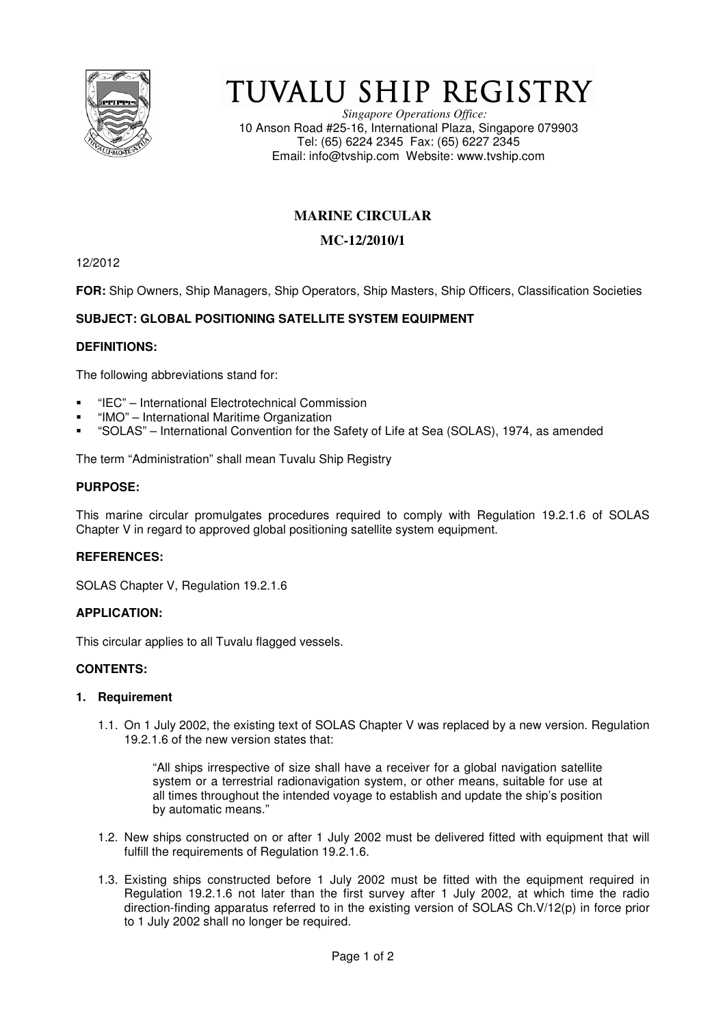

# TUVALU SHIP REGISTRY

*Singapore Operations Office:* 10 Anson Road #25-16, International Plaza, Singapore 079903 Tel: (65) 6224 2345 Fax: (65) 6227 2345 Email: info@tvship.com Website: www.tvship.com

# **MARINE CIRCULAR**

## **MC-12/2010/1**

12/2012

**FOR:** Ship Owners, Ship Managers, Ship Operators, Ship Masters, Ship Officers, Classification Societies

## **SUBJECT: GLOBAL POSITIONING SATELLITE SYSTEM EQUIPMENT**

## **DEFINITIONS:**

The following abbreviations stand for:

- "IEC" International Electrotechnical Commission
- "IMO" International Maritime Organization
- "SOLAS" International Convention for the Safety of Life at Sea (SOLAS), 1974, as amended

The term "Administration" shall mean Tuvalu Ship Registry

#### **PURPOSE:**

This marine circular promulgates procedures required to comply with Regulation 19.2.1.6 of SOLAS Chapter V in regard to approved global positioning satellite system equipment.

## **REFERENCES:**

SOLAS Chapter V, Regulation 19.2.1.6

## **APPLICATION:**

This circular applies to all Tuvalu flagged vessels.

#### **CONTENTS:**

#### **1. Requirement**

1.1. On 1 July 2002, the existing text of SOLAS Chapter V was replaced by a new version. Regulation 19.2.1.6 of the new version states that:

"All ships irrespective of size shall have a receiver for a global navigation satellite system or a terrestrial radionavigation system, or other means, suitable for use at all times throughout the intended voyage to establish and update the ship's position by automatic means."

- 1.2. New ships constructed on or after 1 July 2002 must be delivered fitted with equipment that will fulfill the requirements of Regulation 19.2.1.6.
- 1.3. Existing ships constructed before 1 July 2002 must be fitted with the equipment required in Regulation 19.2.1.6 not later than the first survey after 1 July 2002, at which time the radio direction-finding apparatus referred to in the existing version of SOLAS Ch.V/12(p) in force prior to 1 July 2002 shall no longer be required.